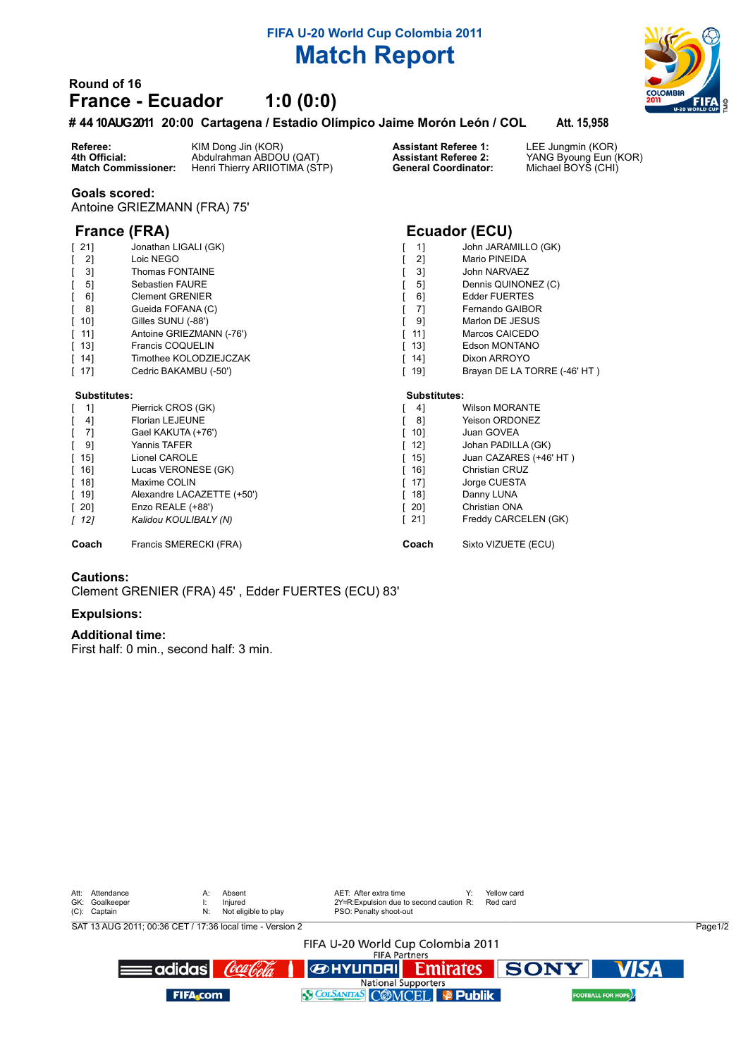# **FIFA U-20 World Cup Colombia 2011 Match Report**

## **Round of 16 France - Ecuador 1:0 (0:0)**

### **# 4410 AUG 2011 20:00 Cartagena / Estadio Olímpico Jaime Morón León / COL Att. 15,958**

**Referee:** KIM Dong Jin (KOR) **Assistant Referee 1:** LEE Jungmin (KOR) **4th Official:** Abdulrahman ABDOU (QAT) **Assistant Referee 2:** YANG Byoung Eun (KOR) **Match Commissioner:** Henri Thierry ARIIOTIMA (STP) **General Coordinator:** Michael BOYS (CHI)

#### **Goals scored:**

Antoine GRIEZMANN (FRA) 75'

## **France (FRA) Ecuador (ECU)**

| 21]                                | Jonathan LIGALI (GK)       | 11                                 | John JARAMILLO (GK)          |
|------------------------------------|----------------------------|------------------------------------|------------------------------|
| 2]                                 | Loic NEGO                  | 21                                 | Mario PINEIDA                |
| 3]                                 | Thomas FONTAINE            | 31                                 | John NARVAEZ                 |
| $5$ ]                              | Sebastien FAURE            | 51                                 | Dennis QUINONEZ (C)          |
| 6]                                 | <b>Clement GRENIER</b>     | 61                                 | <b>Edder FUERTES</b>         |
| 8]                                 | Gueida FOFANA (C)          | 71                                 | Fernando GAIBOR              |
| $\begin{bmatrix} 10 \end{bmatrix}$ | Gilles SUNU (-88')         | 91                                 | Marlon DE JESUS              |
| [11]                               | Antoine GRIEZMANN (-76')   | 11]<br>L                           | Marcos CAICEDO               |
| $\lceil$ 13]                       | Francis COQUELIN           | $\lceil$ 13]                       | Edson MONTANO                |
| [14]                               | Timothee KOLODZIEJCZAK     | $\begin{bmatrix} 14 \end{bmatrix}$ | Dixon ARROYO                 |
| $[17]$                             | Cedric BAKAMBU (-50')      | $\lceil$ 19]                       | Brayan DE LA TORRE (-46' HT) |
| Substitutes:                       |                            | Substitutes:                       |                              |
| $\begin{bmatrix} 1 \end{bmatrix}$  | Pierrick CROS (GK)         | 41                                 | <b>Wilson MORANTE</b>        |
| 4]                                 | <b>Florian LEJEUNE</b>     | 81                                 | Yeison ORDONEZ               |
| -71                                | Gael KAKUTA (+76')         | [10]                               | Juan GOVEA                   |
| 9]                                 | Yannis TAFER               | $[12]$                             | Johan PADILLA (GK)           |
| $\begin{bmatrix} 15 \end{bmatrix}$ | Lionel CAROLE              | $\begin{bmatrix} 15 \end{bmatrix}$ | Juan CAZARES (+46' HT)       |
| $\begin{bmatrix} 16 \end{bmatrix}$ | Lucas VERONESE (GK)        | $\begin{bmatrix} 16 \end{bmatrix}$ | Christian CRUZ               |
| $\lceil$ 18]                       | Maxime COLIN               | $\lceil$ 17]                       | Jorge CUESTA                 |
| $\begin{bmatrix} 19 \end{bmatrix}$ | Alexandre LACAZETTE (+50') | $\lceil$ 18]                       | Danny LUNA                   |
| $\begin{bmatrix} 20 \end{bmatrix}$ | Enzo REALE (+88')          | $\lceil 20 \rceil$                 | Christian ONA                |
| [12]                               | Kalidou KOULIBALY (N)      | $[21]$                             | Freddy CARCELEN (GK)         |
| Coach                              | Francis SMERECKI (FRA)     | Coach                              | Sixto VIZUETE (ECU)          |

#### **Cautions:**

Clement GRENIER (FRA) 45' , Edder FUERTES (ECU) 83'

#### **Expulsions:**

#### **Additional time:**

First half: 0 min., second half: 3 min.

| Attendance<br>Att:<br>GK: Goalkeeper<br>(C): Captain      | A:<br>N:         | Absent<br>Iniured<br>Not eligible to play |  | AET: After extra time<br>2Y=R:Expulsion due to second caution R:<br>PSO: Penalty shoot-out |  | Yellow card<br>Red card |  |                          |         |  |  |  |  |
|-----------------------------------------------------------|------------------|-------------------------------------------|--|--------------------------------------------------------------------------------------------|--|-------------------------|--|--------------------------|---------|--|--|--|--|
| SAT 13 AUG 2011; 00:36 CET / 17:36 local time - Version 2 |                  |                                           |  |                                                                                            |  |                         |  |                          | Page1/2 |  |  |  |  |
| FIFA U-20 World Cup Colombia 2011<br><b>FIFA Partners</b> |                  |                                           |  |                                                                                            |  |                         |  |                          |         |  |  |  |  |
|                                                           | ≡adidas <b>l</b> | Cocaloda                                  |  | <b>BERTY OF SONY</b>                                                                       |  |                         |  | <b>VISA</b>              |         |  |  |  |  |
|                                                           | <b>FIFA</b> com  |                                           |  | <b>National Supporters</b><br>SCOLSANTAS COMCEL P Publik                                   |  |                         |  | <b>FOOTBALL FOR HOPE</b> |         |  |  |  |  |